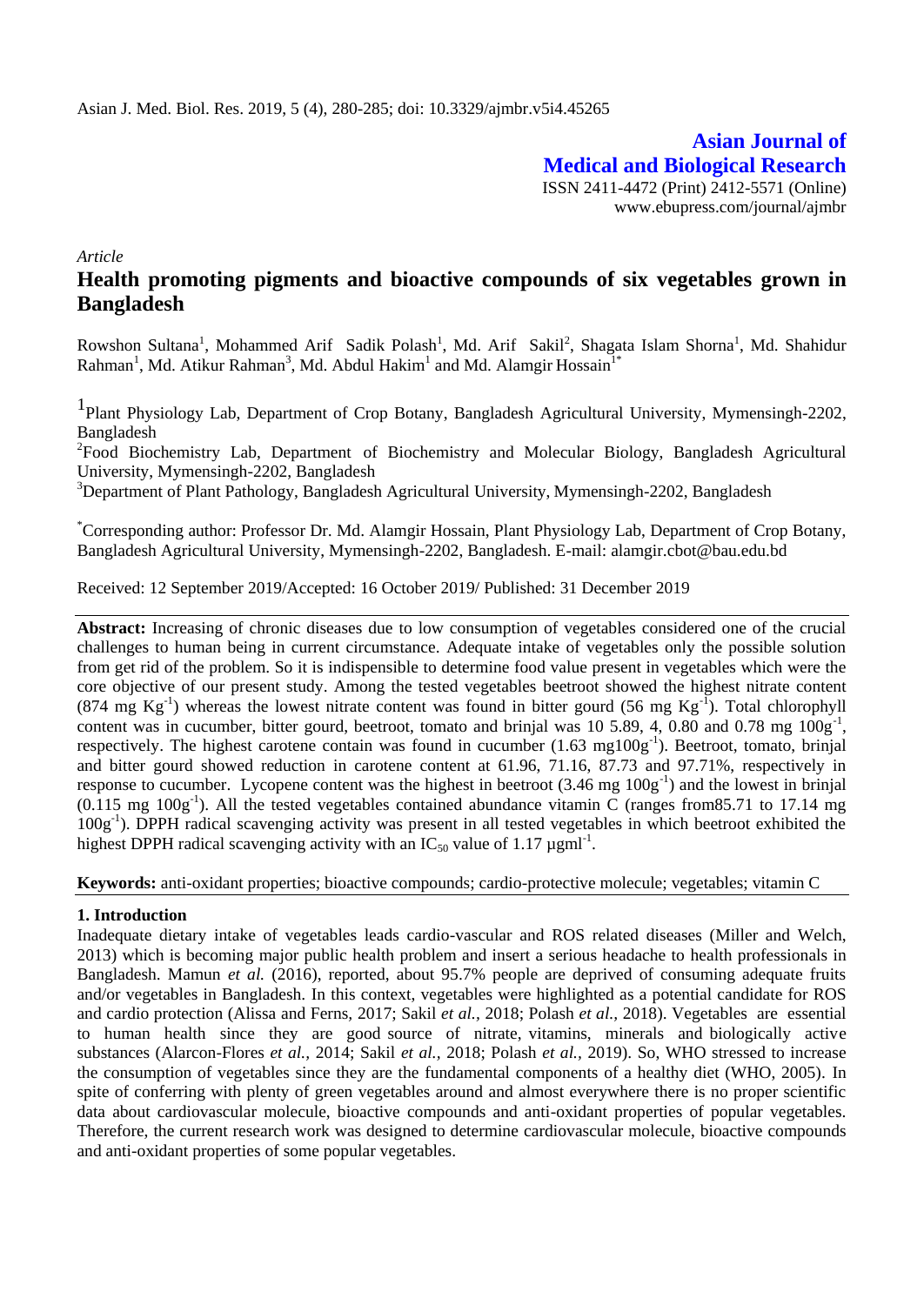**Asian Journal of Medical and Biological Research** ISSN 2411-4472 (Print) 2412-5571 (Online) www.ebupress.com/journal/ajmbr

*Article*

# **Health promoting pigments and bioactive compounds of six vegetables grown in Bangladesh**

Rowshon Sultana<sup>1</sup>, Mohammed Arif Sadik Polash<sup>1</sup>, Md. Arif Sakil<sup>2</sup>, Shagata Islam Shorna<sup>1</sup>, Md. Shahidur Rahman<sup>1</sup>, Md. Atikur Rahman<sup>3</sup>, Md. Abdul Hakim<sup>1</sup> and Md. Alamgir Hossain<sup>1\*</sup>

1 Plant Physiology Lab, Department of Crop Botany, Bangladesh Agricultural University, Mymensingh-2202, Bangladesh

<sup>2</sup> Food Biochemistry Lab, Department of Biochemistry and Molecular Biology, Bangladesh Agricultural University, Mymensingh-2202, Bangladesh

<sup>3</sup>Department of Plant Pathology, Bangladesh Agricultural University, Mymensingh-2202, Bangladesh

\*Corresponding author: Professor Dr. Md. Alamgir Hossain, Plant Physiology Lab, Department of Crop Botany, Bangladesh Agricultural University, Mymensingh-2202, Bangladesh. E-mail: [alamgir.cbot@bau.edu.bd](mailto:alamgir.cbot@bau.edu.bd)

Received: 12 September 2019/Accepted: 16 October 2019/ Published: 31 December 2019

**Abstract:** Increasing of chronic diseases due to low consumption of vegetables considered one of the crucial challenges to human being in current circumstance. Adequate intake of vegetables only the possible solution from get rid of the problem. So it is indispensible to determine food value present in vegetables which were the core objective of our present study. Among the tested vegetables beetroot showed the highest nitrate content (874 mg  $Kg^{-1}$ ) whereas the lowest nitrate content was found in bitter gourd (56 mg  $Kg^{-1}$ ). Total chlorophyll content was in cucumber, bitter gourd, beetroot, tomato and brinjal was 10 5.89, 4, 0.80 and 0.78 mg  $100g^{-1}$ , respectively. The highest carotene contain was found in cucumber  $(1.63 \text{ mg}100g^{-1})$ . Beetroot, tomato, brinjal and bitter gourd showed reduction in carotene content at 61.96, 71.16, 87.73 and 97.71%, respectively in response to cucumber. Lycopene content was the highest in beetroot (3.46 mg 100g<sup>-1</sup>) and the lowest in brinjal  $(0.115 \text{ mg } 100g^{-1})$ . All the tested vegetables contained abundance vitamin C (ranges from 85.71 to 17.14 mg 100g<sup>-1</sup>). DPPH radical scavenging activity was present in all tested vegetables in which beetroot exhibited the highest DPPH radical scavenging activity with an  $IC_{50}$  value of 1.17  $\mu$ gml<sup>-1</sup>.

**Keywords:** anti-oxidant properties; bioactive compounds; cardio-protective molecule; vegetables; vitamin C

#### **1. Introduction**

Inadequate dietary intake of vegetables leads cardio-vascular and ROS related diseases (Miller and Welch, 2013) which is becoming major public health problem and insert a serious headache to health professionals in Bangladesh. Mamun *et al.* (2016), reported, about 95.7% people are deprived of consuming adequate fruits and/or vegetables in Bangladesh. In this context, vegetables were highlighted as a potential candidate for ROS and cardio protection (Alissa and Ferns*,* 2017; Sakil *et al.,* 2018; Polash *et al.,* 2018). Vegetables are essential to human health since they are good source of nitrate, vitamins, minerals and biologically active substances (Alarcon-Flores *et al.,* 2014; Sakil *et al.,* 2018; Polash *et al.,* 2019). So, WHO stressed to increase the consumption of vegetables since they are the fundamental components of a healthy diet (WHO, 2005). In spite of conferring with plenty of green vegetables around and almost everywhere there is no proper scientific data about cardiovascular molecule, bioactive compounds and anti-oxidant properties of popular vegetables. Therefore, the current research work was designed to determine cardiovascular molecule, bioactive compounds and anti-oxidant properties of some popular vegetables.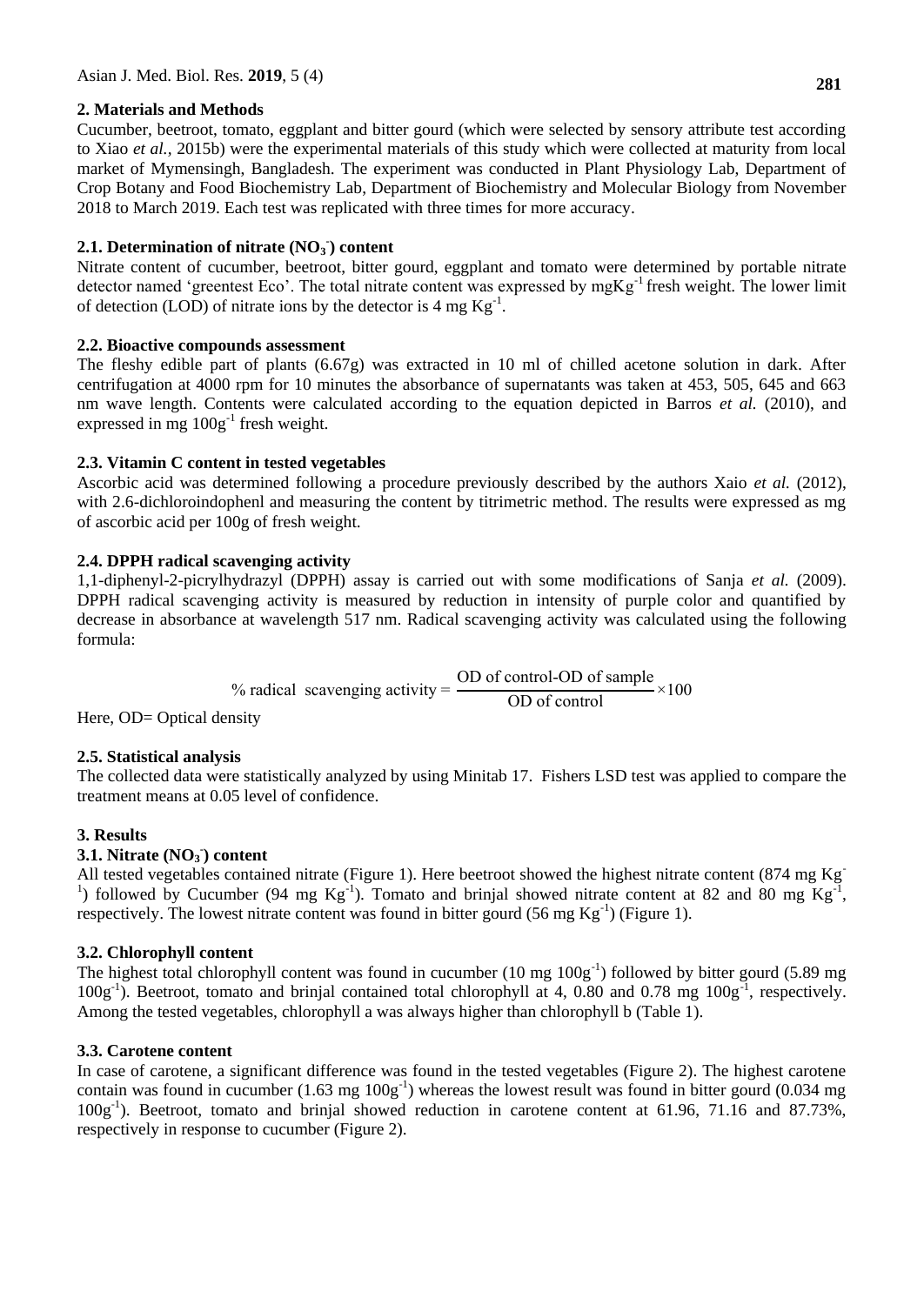### **2. Materials and Methods**

**281**

Cucumber, beetroot, tomato, eggplant and bitter gourd (which were selected by sensory attribute test according to Xiao *et al.,* 2015b) were the experimental materials of this study which were collected at maturity from local market of Mymensingh, Bangladesh. The experiment was conducted in Plant Physiology Lab, Department of Crop Botany and Food Biochemistry Lab, Department of Biochemistry and Molecular Biology from November 2018 to March 2019. Each test was replicated with three times for more accuracy.

## **2.1. Determination of nitrate (NO<sup>3</sup> - ) content**

Nitrate content of cucumber, beetroot, bitter gourd, eggplant and tomato were determined by portable nitrate detector named 'greentest Eco'. The total nitrate content was expressed by mgKg<sup>-1</sup> fresh weight. The lower limit of detection (LOD) of nitrate ions by the detector is 4 mg  $\text{Kg}^{-1}$ .

### **2.2. Bioactive compounds assessment**

The fleshy edible part of plants (6.67g) was extracted in 10 ml of chilled acetone solution in dark. After centrifugation at 4000 rpm for 10 minutes the absorbance of supernatants was taken at 453, 505, 645 and 663 nm wave length. Contents were calculated according to the equation depicted in Barros *et al.* (2010), and expressed in mg  $100g^{-1}$  fresh weight.

### **2.3. Vitamin C content in tested vegetables**

Ascorbic acid was determined following a procedure previously described by the authors Xaio *et al.* (2012), with 2.6-dichloroindophenl and measuring the content by titrimetric method. The results were expressed as mg of ascorbic acid per 100g of fresh weight.

### **2.4. DPPH radical scavenging activity**

1,1-diphenyl-2-picrylhydrazyl (DPPH) assay is carried out with some modifications of Sanja *et al.* (2009). DPPH radical scavenging activity is measured by reduction in intensity of purple color and quantified by decrease in absorbance at wavelength 517 nm. Radical scavenging activity was calculated using the following formula:

> $%$  radical scavenging activity = OD of control-OD of sample  $\frac{\text{Observe of sample}}{\text{OD of control}} \times$

Here, OD= Optical density

### **2.5. Statistical analysis**

The collected data were statistically analyzed by using Minitab 17. Fishers LSD test was applied to compare the treatment means at 0.05 level of confidence.

### **3. Results**

## **3.1. Nitrate (NO<sup>3</sup> - ) content**

All tested vegetables contained nitrate (Figure 1). Here beetroot showed the highest nitrate content (874 mg Kg-<sup>1</sup>) followed by Cucumber (94 mg Kg<sup>-1</sup>). Tomato and brinjal showed nitrate content at 82 and 80 mg Kg<sup>-1</sup>, respectively. The lowest nitrate content was found in bitter gourd (56 mg  $\text{Kg}^{-1}$ ) (Figure 1).

### **3.2. Chlorophyll content**

The highest total chlorophyll content was found in cucumber  $(10 \text{ mg } 100 \text{g}^{-1})$  followed by bitter gourd  $(5.89 \text{ mg})$ 100g<sup>-1</sup>). Beetroot, tomato and brinjal contained total chlorophyll at 4, 0.80 and 0.78 mg 100g<sup>-1</sup>, respectively. Among the tested vegetables, chlorophyll a was always higher than chlorophyll b (Table 1).

### **3.3. Carotene content**

In case of carotene, a significant difference was found in the tested vegetables (Figure 2). The highest carotene contain was found in cucumber  $(1.63 \text{ mg } 100 \text{g}^{-1})$  whereas the lowest result was found in bitter gourd  $(0.034 \text{ mg})$ 100g-1 ). Beetroot, tomato and brinjal showed reduction in carotene content at 61.96, 71.16 and 87.73%, respectively in response to cucumber (Figure 2).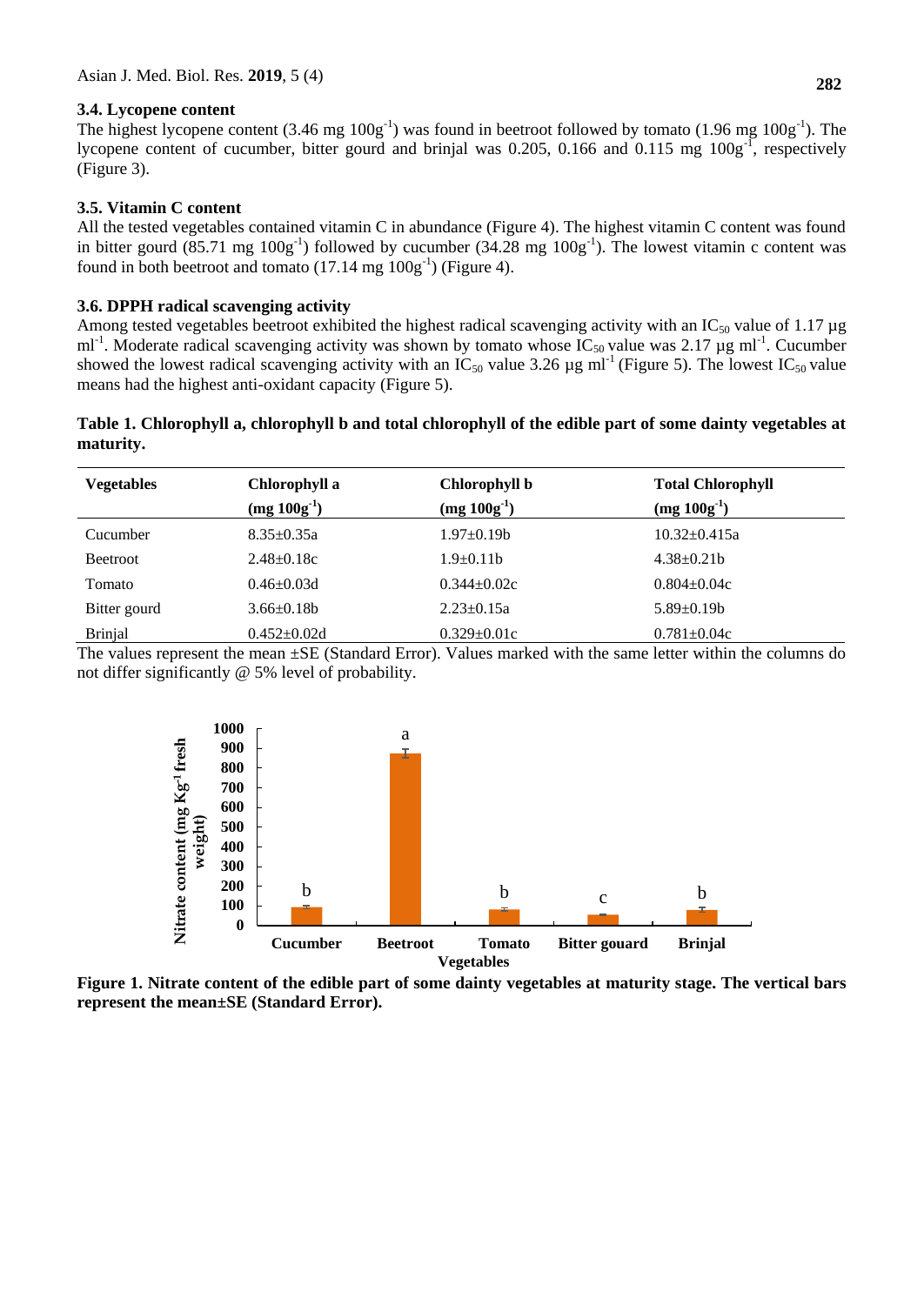#### **3.4. Lycopene content**

The highest lycopene content  $(3.46 \text{ mg } 100 \text{g}^{-1})$  was found in beetroot followed by tomato  $(1.96 \text{ mg } 100 \text{g}^{-1})$ . The lycopene content of cucumber, bitter gourd and brinjal was 0.205, 0.166 and 0.115 mg  $100g^{-1}$ , respectively (Figure 3).

#### **3.5. Vitamin C content**

All the tested vegetables contained vitamin C in abundance (Figure 4). The highest vitamin C content was found in bitter gourd  $(85.71 \text{ mg } 100g^{-1})$  followed by cucumber  $(34.28 \text{ mg } 100g^{-1})$ . The lowest vitamin c content was found in both beetroot and tomato  $(17.14 \text{ mg } 100 \text{g}^{-1})$  (Figure 4).

#### **3.6. DPPH radical scavenging activity**

Among tested vegetables beetroot exhibited the highest radical scavenging activity with an  $IC_{50}$  value of 1.17 µg ml<sup>-1</sup>. Moderate radical scavenging activity was shown by tomato whose IC<sub>50</sub> value was 2.17 µg ml<sup>-1</sup>. Cucumber showed the lowest radical scavenging activity with an  $IC_{50}$  value 3.26 µg ml<sup>-1</sup> (Figure 5). The lowest  $IC_{50}$  value means had the highest anti-oxidant capacity (Figure 5).

#### **Table 1. Chlorophyll a, chlorophyll b and total chlorophyll of the edible part of some dainty vegetables at maturity.**

| <b>Vegetables</b> | Chlorophyll a<br>$(mg 100g-1)$ | Chlorophyll b<br>$(mg 100g^{-1})$ | <b>Total Chlorophyll</b><br>$(mg 100g-1)$ |
|-------------------|--------------------------------|-----------------------------------|-------------------------------------------|
| Cucumber          | $8.35 \pm 0.35a$               | $1.97 \pm 0.19$                   | $10.32+0.415a$                            |
| <b>Beetroot</b>   | $2.48 \pm 0.18c$               | $1.9\pm 0.11b$                    | $4.38 \pm 0.21$ b                         |
| Tomato            | $0.46 \pm 0.03$ d              | $0.344 \pm 0.02c$                 | $0.804 \pm 0.04c$                         |
| Bitter gourd      | $3.66 \pm 0.18$                | $2.23 \pm 0.15a$                  | $5.89 \pm 0.19 b$                         |
| <b>Brinjal</b>    | $0.452 \pm 0.02d$              | $0.329 \pm 0.01c$                 | $0.781 \pm 0.04c$                         |

The values represent the mean  $\pm$ SE (Standard Error). Values marked with the same letter within the columns do not differ significantly @ 5% level of probability.



**Figure 1. Nitrate content of the edible part of some dainty vegetables at maturity stage. The vertical bars represent the mean±SE (Standard Error).**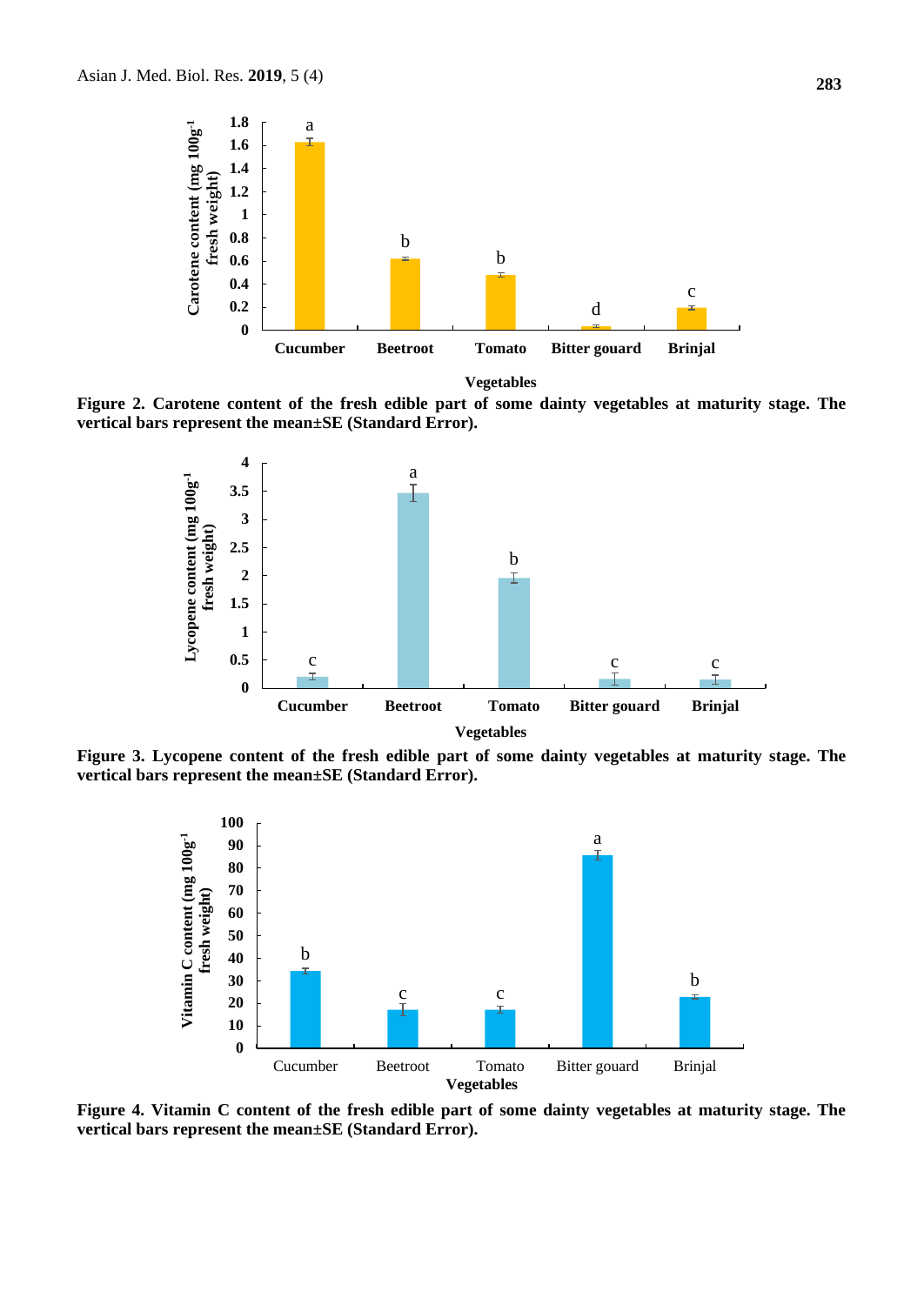

**Vegetables**

**Figure 2. Carotene content of the fresh edible part of some dainty vegetables at maturity stage. The vertical bars represent the mean±SE (Standard Error).**



**Figure 3. Lycopene content of the fresh edible part of some dainty vegetables at maturity stage. The vertical bars represent the mean±SE (Standard Error).**



**Figure 4. Vitamin C content of the fresh edible part of some dainty vegetables at maturity stage. The vertical bars represent the mean±SE (Standard Error).**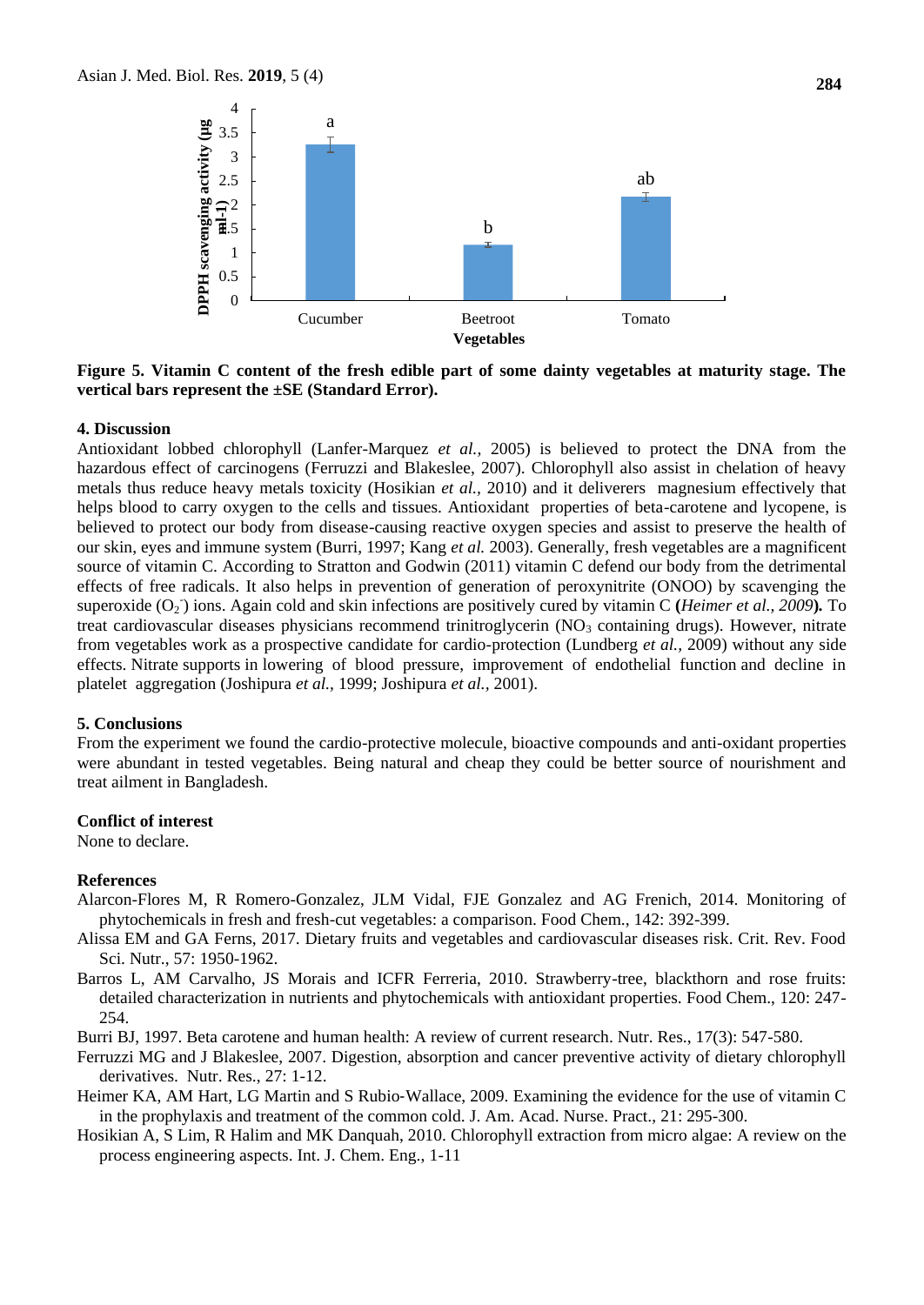

**Figure 5. Vitamin C content of the fresh edible part of some dainty vegetables at maturity stage. The vertical bars represent the ±SE (Standard Error).**

#### **4. Discussion**

Antioxidant lobbed chlorophyll (Lanfer-Marquez *et al.,* 2005) is believed to protect the DNA from the hazardous effect of carcinogens (Ferruzzi and Blakeslee, 2007). Chlorophyll also assist in chelation of heavy metals thus reduce heavy metals toxicity (Hosikian *et al.,* 2010) and it deliverers magnesium effectively that helps blood to carry oxygen to the cells and tissues. Antioxidant properties of beta-carotene and lycopene, is believed to protect our body from disease-causing reactive oxygen species and assist to preserve the health of our skin, eyes and immune system (Burri, 1997; Kang *et al.* 2003). Generally, fresh vegetables are a magnificent source of vitamin C. According to Stratton and Godwin (2011) vitamin C defend our body from the detrimental effects of free radicals. It also helps in prevention of generation of peroxynitrite (ONOO) by scavenging the superoxide (O<sub>2</sub>) ions. Again cold and skin infections are positively cured by vitamin C (*Heimer et al., 2009*). To treat cardiovascular diseases physicians recommend trinitroglycerin  $NO<sub>3</sub>$  containing drugs). However, nitrate from vegetables work as a prospective candidate for cardio-protection (Lundberg *et al.,* 2009) without any side effects. Nitrate supports in lowering of blood pressure, improvement of endothelial function and decline in platelet aggregation (Joshipura *et al.,* 1999; Joshipura *et al.,* 2001).

#### **5. Conclusions**

From the experiment we found the cardio-protective molecule, bioactive compounds and anti-oxidant properties were abundant in tested vegetables. Being natural and cheap they could be better source of nourishment and treat ailment in Bangladesh.

#### **Conflict of interest**

None to declare.

#### **References**

- Alarcon-Flores M, R Romero-Gonzalez, JLM Vidal, FJE Gonzalez and AG Frenich, 2014. Monitoring of phytochemicals in fresh and fresh-cut vegetables: a comparison. Food Chem., 142: 392-399.
- Alissa EM and GA Ferns, 2017. Dietary fruits and vegetables and cardiovascular diseases risk. Crit. Rev. Food Sci. Nutr., 57: 1950-1962.
- Barros L, AM Carvalho, JS Morais and ICFR Ferreria, 2010. Strawberry-tree, blackthorn and rose fruits: detailed characterization in nutrients and phytochemicals with antioxidant properties. Food Chem., 120: 247- 254.
- Burri BJ, 1997. Beta carotene and human health: A review of current research. Nutr. Res., 17(3): 547-580.
- Ferruzzi MG and J Blakeslee, 2007. Digestion, absorption and cancer preventive activity of dietary chlorophyll derivatives. Nutr. Res., 27: 1-12.
- Heimer KA, AM Hart, LG Martin and S Rubio‐Wallace, 2009. Examining the evidence for the use of vitamin C in the prophylaxis and treatment of the common cold. J. Am. Acad. Nurse. Pract., 21: 295-300.
- Hosikian A, S Lim, R Halim and MK Danquah, 2010. Chlorophyll extraction from micro algae: A review on the process engineering aspects. Int. J. Chem. Eng., 1-11